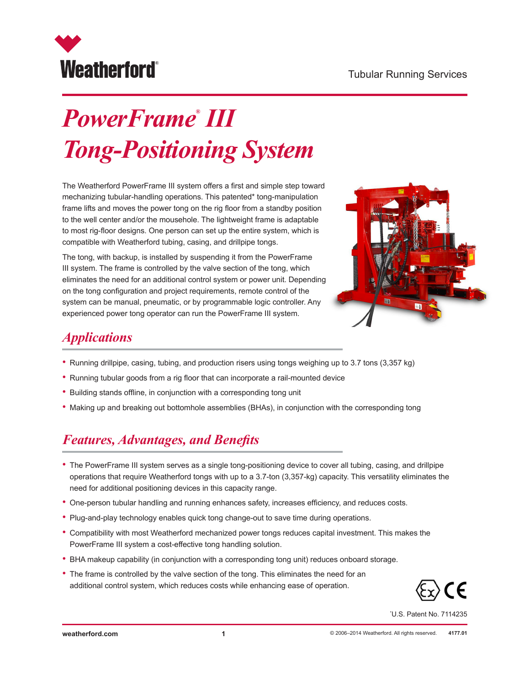

# *PowerFrame® III Tong-Positioning System*

The Weatherford PowerFrame III system offers a first and simple step toward mechanizing tubular-handling operations. This patented\* tong-manipulation frame lifts and moves the power tong on the rig floor from a standby position to the well center and/or the mousehole. The lightweight frame is adaptable to most rig-floor designs. One person can set up the entire system, which is compatible with Weatherford tubing, casing, and drillpipe tongs.

The tong, with backup, is installed by suspending it from the PowerFrame III system. The frame is controlled by the valve section of the tong, which eliminates the need for an additional control system or power unit. Depending on the tong configuration and project requirements, remote control of the system can be manual, pneumatic, or by programmable logic controller. Any experienced power tong operator can run the PowerFrame III system.



### *Applications*

- Running drillpipe, casing, tubing, and production risers using tongs weighing up to 3.7 tons (3,357 kg)
- Running tubular goods from a rig floor that can incorporate a rail-mounted device
- Building stands offline, in conjunction with a corresponding tong unit
- Making up and breaking out bottomhole assemblies (BHAs), in conjunction with the corresponding tong

#### *Features, Advantages, and Benefits*

- The PowerFrame III system serves as a single tong-positioning device to cover all tubing, casing, and drillpipe operations that require Weatherford tongs with up to a 3.7-ton (3,357-kg) capacity. This versatility eliminates the need for additional positioning devices in this capacity range.
- One-person tubular handling and running enhances safety, increases efficiency, and reduces costs.
- Plug-and-play technology enables quick tong change-out to save time during operations.
- Compatibility with most Weatherford mechanized power tongs reduces capital investment. This makes the PowerFrame III system a cost-effective tong handling solution.
- BHA makeup capability (in conjunction with a corresponding tong unit) reduces onboard storage.
- The frame is controlled by the valve section of the tong. This eliminates the need for an additional control system, which reduces costs while enhancing ease of operation.



\* U.S. Patent No. 7114235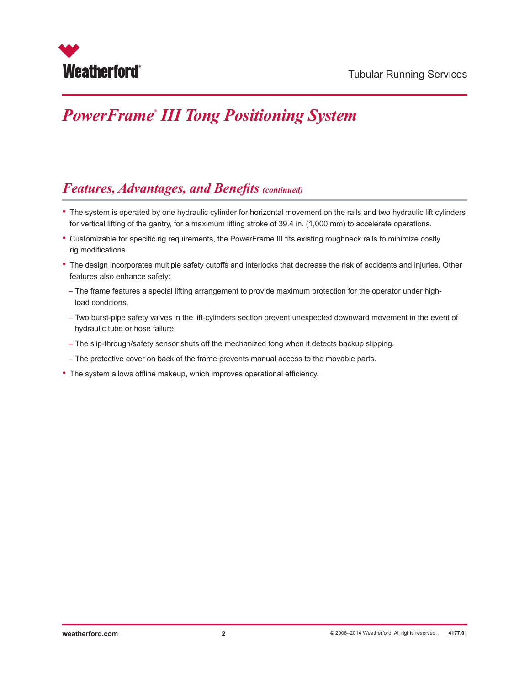

## *PowerFrame® III Tong Positioning System*

#### *Features, Advantages, and Benefits (continued)*

- The system is operated by one hydraulic cylinder for horizontal movement on the rails and two hydraulic lift cylinders for vertical lifting of the gantry, for a maximum lifting stroke of 39.4 in. (1,000 mm) to accelerate operations.
- Customizable for specific rig requirements, the PowerFrame III fits existing roughneck rails to minimize costly rig modifications.
- The design incorporates multiple safety cutoffs and interlocks that decrease the risk of accidents and injuries. Other features also enhance safety:
- The frame features a special lifting arrangement to provide maximum protection for the operator under highload conditions.
- Two burst-pipe safety valves in the lift-cylinders section prevent unexpected downward movement in the event of hydraulic tube or hose failure.
- The slip-through/safety sensor shuts off the mechanized tong when it detects backup slipping.
- The protective cover on back of the frame prevents manual access to the movable parts.
- The system allows offline makeup, which improves operational efficiency.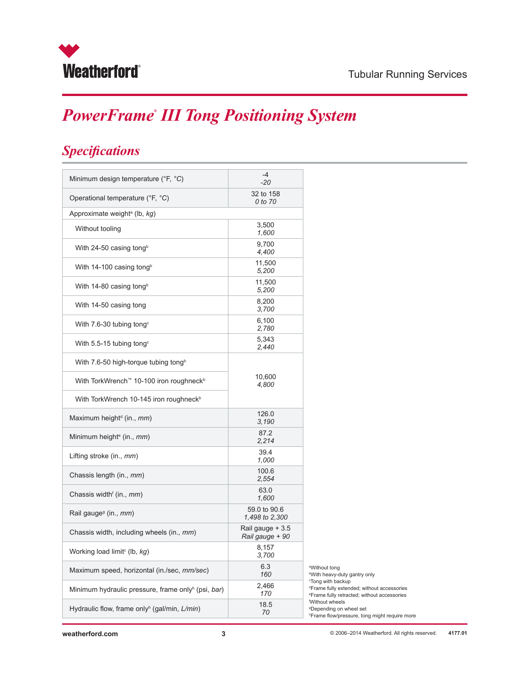

## *PowerFrame® III Tong Positioning System*

### *Specifications*

| Minimum design temperature (°F, °C)                            | $-4$<br>$-20$                       |
|----------------------------------------------------------------|-------------------------------------|
| Operational temperature (°F, °C)                               | 32 to 158<br>0 to 70                |
| Approximate weight <sup>a</sup> (lb, kg)                       |                                     |
| Without tooling                                                | 3,500<br>1,600                      |
| With 24-50 casing tong <sup>b</sup>                            | 9,700<br>4,400                      |
| With 14-100 casing tong <sup>b</sup>                           | 11,500<br>5,200                     |
| With 14-80 casing tong <sup>b</sup>                            | 11,500<br>5,200                     |
| With 14-50 casing tong                                         | 8,200<br>3,700                      |
| With 7.6-30 tubing tong <sup>c</sup>                           | 6,100<br>2,780                      |
| With 5.5-15 tubing tong <sup>c</sup>                           | 5,343<br>2,440                      |
| With 7.6-50 high-torque tubing tong <sup>b</sup>               |                                     |
| With TorkWrench™ 10-100 iron roughneck <sup>b</sup>            | 10,600<br>4,800                     |
| With TorkWrench 10-145 iron roughneck <sup>b</sup>             |                                     |
| Maximum height <sup>d</sup> (in., <i>mm</i> )                  | 126.0<br>3,190                      |
| Minimum height <sup>e</sup> (in., <i>mm</i> )                  | 87.2<br>2,214                       |
| Lifting stroke (in., mm)                                       | 39.4<br>1,000                       |
| Chassis length (in., mm)                                       | 100.6<br>2,554                      |
| Chassis width <sup>f</sup> (in., mm)                           | 63.0<br>1,600                       |
| Rail gauge <sup>9</sup> (in., mm)                              | 59.0 to 90.6<br>1,498 to 2,300      |
| Chassis width, including wheels (in., mm)                      | Rail gauge + 3.5<br>Rail gauge + 90 |
| Working load limit <sup>c</sup> (lb, kg)                       | 8,157<br>3,700                      |
| Maximum speed, horizontal (in./sec, mm/sec)                    | 6.3<br>160                          |
| Minimum hydraulic pressure, frame only <sup>h</sup> (psi, bar) | 2,466<br>170                        |
| Hydraulic flow, frame only <sup>h</sup> (gal/min, L/min)       | 18.5<br>70                          |
|                                                                |                                     |